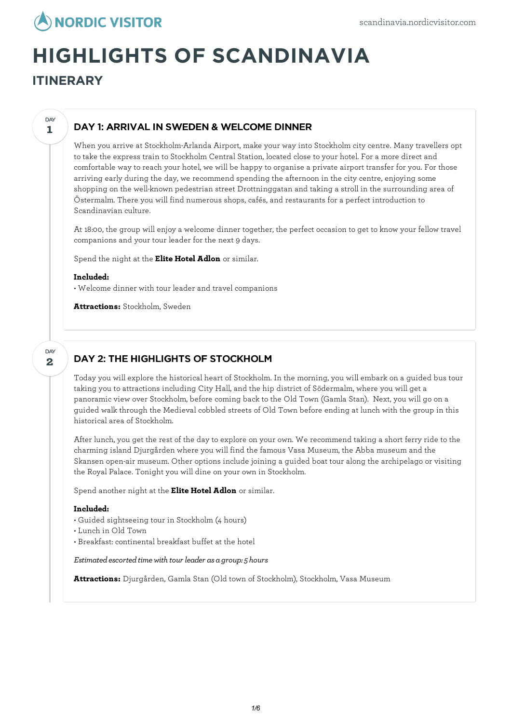

# **HIGHLIGHTS OF SCANDINAVIA**

**ITINERARY**

#### **1 DAY**

## DAY 1: ARRIVAL IN SWEDEN & WELCOME DINNER

When you arrive at Stockholm-Arlanda Airport, make your way into Stockholm city centre. Many travellers opt to take the express train to Stockholm Central Station, located close to your hotel. For a more direct and comfortable way to reach your hotel, we will be happy to organise a private airport transfer for you. For those arriving early during the day, we recommend spending the afternoon in the city centre, enjoying some shopping on the well-known pedestrian street Drottninggatan and taking a stroll in the surrounding area of Östermalm. There you will find numerous shops, cafés, and restaurants for a perfect introduction to Scandinavian culture.

At 18:00, the group willenjoy a welcome dinner together, the perfect occasion to get to know your fellow travel companions and your tour leader for the next 9 days.

Spend the night at the **Elite Hotel Adlon** or similar.

## **Included:**

• Welcome dinner with tour leader and travel companions

**Attractions:** Stockholm, Sweden

#### **2** DAY

## DAY 2: THE HIGHLIGHTS OF STOCKHOLM

Today you willexplore the historical heart of Stockholm. In the morning, you willembark on a guided bus tour taking you to attractions including City Hall, and the hip district of Södermalm, where you will get a panoramic view over Stockholm, before coming back to the Old Town (Gamla Stan). Next, you will go on a guided walk through the Medieval cobbled streets of Old Town before ending at lunch with the group in this historical area of Stockholm.

After lunch, you get the rest of the day to explore on your own. We recommend taking a short ferry ride to the charming island Djurgården where you will find the famous Vasa Museum, the Abba museum and the Skansen open-air museum. Other options include joining a guided boat tour along the archipelago or visiting the Royal Palace. Tonight you will dine on your own in Stockholm.

Spend another night at the **Elite Hotel Adlon** or similar.

## **Included:**

- Guided sightseeing tour in Stockholm (4 hours)
- Lunch in Old Town
- Breakfast: continental breakfast buffet at the hotel

## *Estimatedescortedtimewith tour leader as a group: 5 hours*

**Attractions:** Djurgården, Gamla Stan (Old town of Stockholm), Stockholm, Vasa Museum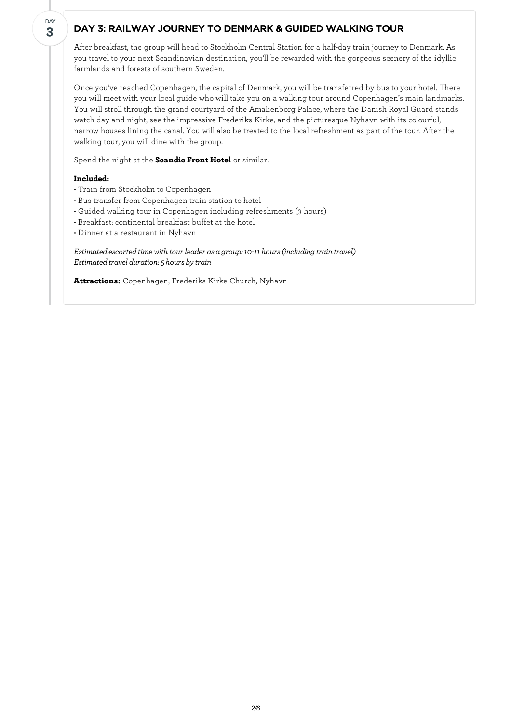## DAY 3: RAILWAY JOURNEY TO DENMARK & GUIDED WALKING TOUR

After breakfast, the group will head to Stockholm Central Station for a half-day train journey to Denmark. As you travel to your next Scandinavian destination, you'll be rewarded with the gorgeous scenery of the idyllic farmlands and forests of southern Sweden.

Once you've reached Copenhagen, the capital of Denmark, you will be transferred by bus to your hotel. There you will meet with your local guide who will take you on a walking tour around Copenhagen's main landmarks. You will stroll through the grand courtyard of the Amalienborg Palace, where the Danish Royal Guard stands watch day and night, see the impressive Frederiks Kirke, and the picturesque Nyhavn with its colourful, narrow houses lining the canal. You will also be treated to the local refreshment as part of the tour. After the walking tour, you will dine with the group.

Spend the night at the **Scandic Front Hotel** or similar.

#### **Included:**

**3** DAY

- Train from Stockholm to Copenhagen
- Bus transfer from Copenhagen train station to hotel
- Guided walking tour in Copenhagen including refreshments (3 hours)
- Breakfast: continental breakfast buffet at the hotel
- Dinner at a restaurant in Nyhavn

*Estimated escorted time with tour leader as a group: 10-11 hours (including train travel) Estimated travel duration:* 5 *hours by train* 

**Attractions:** Copenhagen, Frederiks Kirke Church, Nyhavn

*2/6*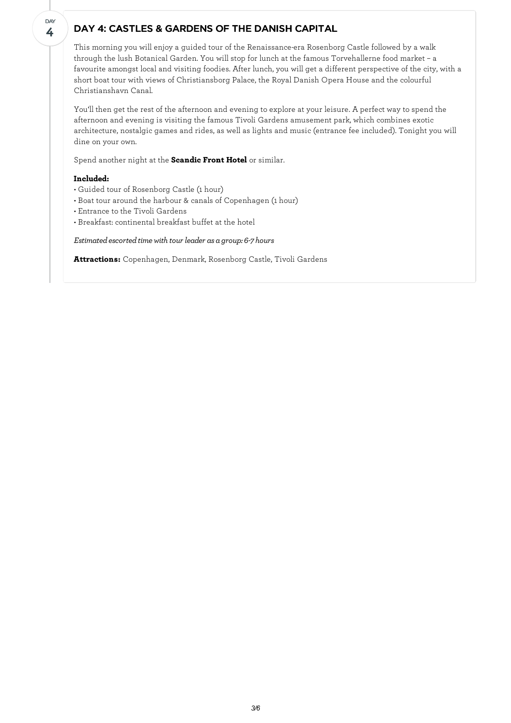## DAY 4: CASTLES & GARDENS OF THE DANISH CAPITAL

This morning you willenjoy a guided tour of the Renaissance-era Rosenborg Castle followed by a walk through the lush Botanical Garden. You will stop for lunch at the famous Torvehallerne food market – a favourite amongst local and visiting foodies. After lunch, you will get a different perspective of the city, with a short boat tour with views of Christiansborg Palace, the Royal Danish Opera House and the colourful Christianshavn Canal.

You'll then get the rest of the afternoon and evening to explore at your leisure. A perfect way to spend the afternoon and evening is visiting the famous Tivoli Gardens amusement park, which combines exotic architecture, nostalgic games and rides, as well as lights and music (entrance fee included). Tonight you will dine on your own.

Spend another night at the **Scandic Front Hotel** or similar.

## **Included:**

**4** DAY

- Guided tour of Rosenborg Castle (1 hour)
- Boat tour around the harbour & canals of Copenhagen (1 hour)
- Entrance to the Tivoli Gardens
- Breakfast: continental breakfast buffet at the hotel

*Estimated escorted time with tour leader as a group:* 6-7 *hours* 

**Attractions:** Copenhagen, Denmark, Rosenborg Castle, Tivoli Gardens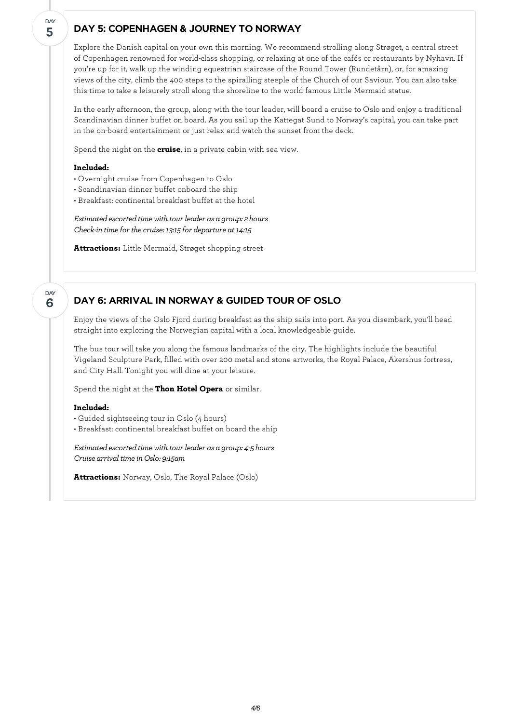## DAY 5: COPENHAGEN & JOURNEY TO NORWAY

Explore the Danish capital on your own this morning. We recommend strolling along Strøget, a central street of Copenhagen renowned for world-class shopping, or relaxing at one of the cafés or restaurants by Nyhavn. If you're up for it, walk up the winding equestrian staircase of the Round Tower (Rundetårn), or, for amazing views of the city, climb the 400 steps to the spiralling steeple of the Church of our Saviour. You can also take this time to take a leisurely stroll along the shoreline to the world famous Little Mermaid statue.

In the early afternoon, the group, along with the tour leader, will board a cruise to Oslo and enjoy a traditional Scandinavian dinner buffet on board. As you sail up the Kattegat Sund to Norway's capital, you can take part in the on-board entertainment or just relax and watch the sunset from the deck.

Spend the night on the **cruise**, in a private cabin with sea view.

#### **Included:**

- Overnight cruise from Copenhagen to Oslo
- Scandinavian dinner buffet onboard the ship
- Breakfast: continental breakfast buffet at the hotel

*Estimated escorted time with tour leader as a group: 2 hours Check-in time for the cruise: 13:15 for departure at 14:15* 

**Attractions:** Little Mermaid, Strøget shopping street

**6** DAY

**5**

**DAY** 

# DAY 6: ARRIVAL IN NORWAY & GUIDED TOUR OF OSLO

Enjoy the views of the Oslo Fjord during breakfast as the ship sails into port. As you disembark, you'll head straight into exploring the Norwegian capital with a local knowledgeable guide.

The bus tour will take you along the famous landmarks of the city. The highlights include the beautiful Vigeland Sculpture Park, filled with over 200 metal and stone artworks, the Royal Palace, Akershus fortress, and City Hall. Tonight you will dine at your leisure.

Spend the night at the **Thon Hotel Opera** or similar.

#### **Included:**

• Guided sightseeing tour in Oslo (4 hours)

• Breakfast: continental breakfast buffet on board the ship

*Estimated escorted time with tour leader as a group: 4-5 hours Cruise arrival time in Oslo: 9:15am* 

**Attractions:** Norway, Oslo, The Royal Palace (Oslo)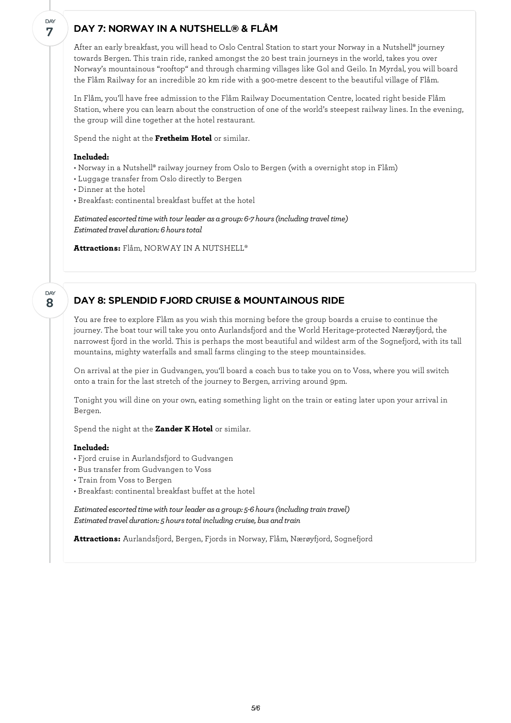## DAY 7: NORWAY IN A NUTSHELL® & FLÅM

After an early breakfast, you will head to Oslo Central Station to start your Norway in a Nutshell® journey towards Bergen. This train ride, ranked amongst the 20 best train journeys in the world, takes you over Norway's mountainous "rooftop" and through charming villages like Gol and Geilo. In Myrdal, you will board the Flåm Railway for an incredible 20 km ride with a 900-metre descent to the beautiful village of Flåm.

In Flåm, you'll have free admission to the Flåm Railway Documentation Centre, located right beside Flåm Station, where you can learn about the construction of one of the world's steepest railway lines. In the evening, the group will dine together at the hotel restaurant.

Spend the night at the **Fretheim Hotel** or similar.

## **Included:**

- Norway in a Nutshell® railway journey from Oslo to Bergen (with a overnight stop in Flåm)
- Luggage transfer from Oslo directly to Bergen
- Dinner at the hotel
- Breakfast: continental breakfast buffet at the hotel

*Estimatedescortedtimewith tour leader as a group: 6-7 hours(including traveltime)*  $Estimated\ travel\ duration: 6\ hours\ total$ 

**Attractions:** Flåm, NORWAY IN A NUTSHELL®

**8** DAY

**7**

DAY

## DAY 8: SPLENDID FJORD CRUISE & MOUNTAINOUS RIDE

You are free to explore Flåm as you wish this morning before the group boards a cruise to continue the journey. The boat tour will take you onto Aurlandsfjord and the World Heritage-protected Nærøyfjord, the narrowest fjord in the world. This is perhaps the most beautiful and wildest arm of the Sognefjord, with its tall mountains, mighty waterfalls and small farms clinging to the steep mountainsides.

On arrival at the pier in Gudvangen, you'll board a coach bus to take you on to Voss, where you will switch onto a train for the last stretch of the journey to Bergen, arriving around 9pm.

Tonight you will dine on your own, eating something light on the train or eating later upon your arrival in Bergen.

Spend the night at the **Zander K Hotel** or similar.

#### **Included:**

- Fjord cruise in Aurlandsfjord to Gudvangen
- Bus transfer from Gudvangen to Voss
- Train from Voss to Bergen
- Breakfast: continental breakfast buffet at the hotel

*Estimatedescortedtimewith tour leader as a group: 5-6 hours(including train travel) Estimated travel duration: 5 hours total including cruise, bus and train* 

**Attractions:** Aurlandsfjord, Bergen, Fjords in Norway, Flåm, Nærøyfjord, Sognefjord